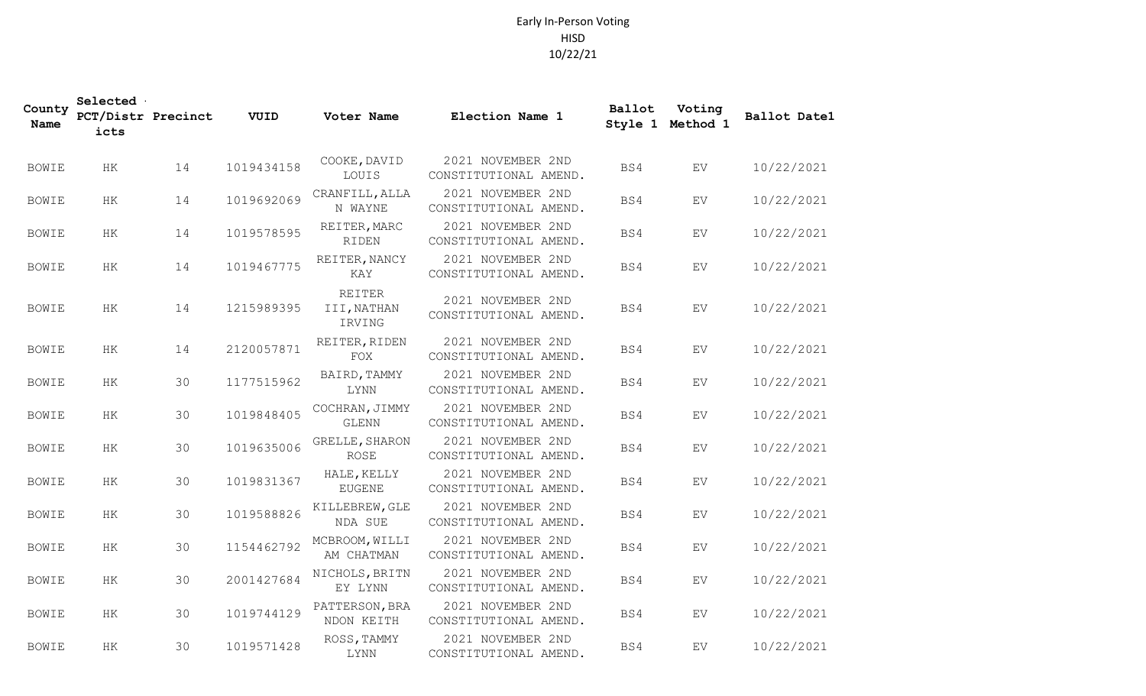## Early In-Person Voting HISD 10/22/21

| County<br>Name | Selected<br>PCT/Distr Precinct<br>icts |    | VUID       | Voter Name                      | Election Name 1                            | Ballot<br>Style 1 | Voting<br>Method 1 | Ballot Datel |
|----------------|----------------------------------------|----|------------|---------------------------------|--------------------------------------------|-------------------|--------------------|--------------|
| <b>BOWIE</b>   | HK                                     | 14 | 1019434158 | COOKE, DAVID<br>LOUIS           | 2021 NOVEMBER 2ND<br>CONSTITUTIONAL AMEND. | BS4               | EV                 | 10/22/2021   |
| <b>BOWIE</b>   | HK                                     | 14 | 1019692069 | CRANFILL, ALLA<br>N WAYNE       | 2021 NOVEMBER 2ND<br>CONSTITUTIONAL AMEND. | BS4               | ${\rm EV}$         | 10/22/2021   |
| <b>BOWIE</b>   | HK                                     | 14 | 1019578595 | REITER, MARC<br><b>RIDEN</b>    | 2021 NOVEMBER 2ND<br>CONSTITUTIONAL AMEND. | BS4               | EV                 | 10/22/2021   |
| <b>BOWIE</b>   | HK                                     | 14 | 1019467775 | REITER, NANCY<br>KAY            | 2021 NOVEMBER 2ND<br>CONSTITUTIONAL AMEND. | BS4               | ${\rm EV}$         | 10/22/2021   |
| <b>BOWIE</b>   | $\rm{HK}$                              | 14 | 1215989395 | REITER<br>III, NATHAN<br>IRVING | 2021 NOVEMBER 2ND<br>CONSTITUTIONAL AMEND. | BS4               | ${\rm EV}$         | 10/22/2021   |
| <b>BOWIE</b>   | HK                                     | 14 | 2120057871 | REITER, RIDEN<br>$_{\rm FOX}$   | 2021 NOVEMBER 2ND<br>CONSTITUTIONAL AMEND. | BS4               | ${\rm EV}$         | 10/22/2021   |
| <b>BOWIE</b>   | $\rm{HK}$                              | 30 | 1177515962 | BAIRD, TAMMY<br><b>LYNN</b>     | 2021 NOVEMBER 2ND<br>CONSTITUTIONAL AMEND. | BS4               | ${\rm EV}$         | 10/22/2021   |
| <b>BOWIE</b>   | $\rm{HK}$                              | 30 | 1019848405 | COCHRAN, JIMMY<br><b>GLENN</b>  | 2021 NOVEMBER 2ND<br>CONSTITUTIONAL AMEND. | BS4               | EV                 | 10/22/2021   |
| <b>BOWIE</b>   | HK                                     | 30 | 1019635006 | GRELLE, SHARON<br><b>ROSE</b>   | 2021 NOVEMBER 2ND<br>CONSTITUTIONAL AMEND. | BS4               | EV                 | 10/22/2021   |
| <b>BOWIE</b>   | $\rm{HK}$                              | 30 | 1019831367 | HALE, KELLY<br><b>EUGENE</b>    | 2021 NOVEMBER 2ND<br>CONSTITUTIONAL AMEND. | BS4               | EV                 | 10/22/2021   |
| <b>BOWIE</b>   | HK                                     | 30 | 1019588826 | KILLEBREW, GLE<br>NDA SUE       | 2021 NOVEMBER 2ND<br>CONSTITUTIONAL AMEND. | BS4               | ${\rm EV}$         | 10/22/2021   |
| <b>BOWIE</b>   | $\rm{HK}$                              | 30 | 1154462792 | MCBROOM, WILLI<br>AM CHATMAN    | 2021 NOVEMBER 2ND<br>CONSTITUTIONAL AMEND. | BS4               | EV                 | 10/22/2021   |
| <b>BOWIE</b>   | $\rm{HK}$                              | 30 | 2001427684 | NICHOLS, BRITN<br>EY LYNN       | 2021 NOVEMBER 2ND<br>CONSTITUTIONAL AMEND. | BS4               | EV                 | 10/22/2021   |
| <b>BOWIE</b>   | HK                                     | 30 | 1019744129 | PATTERSON, BRA<br>NDON KEITH    | 2021 NOVEMBER 2ND<br>CONSTITUTIONAL AMEND. | BS4               | EV                 | 10/22/2021   |
| <b>BOWIE</b>   | HK                                     | 30 | 1019571428 | ROSS, TAMMY<br>LYNN             | 2021 NOVEMBER 2ND<br>CONSTITUTIONAL AMEND. | BS4               | EV                 | 10/22/2021   |